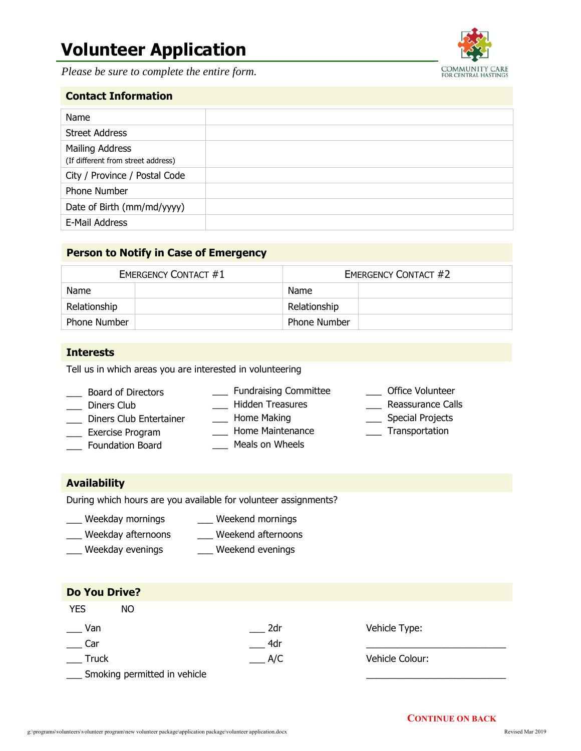# **Volunteer Application**

 *Please be sure to complete the entire form.* 



## **Contact Information**

| Name                                                  |  |
|-------------------------------------------------------|--|
| <b>Street Address</b>                                 |  |
| Mailing Address<br>(If different from street address) |  |
| City / Province / Postal Code                         |  |
| Phone Number                                          |  |
| Date of Birth (mm/md/yyyy)                            |  |
| E-Mail Address                                        |  |
|                                                       |  |

## **Person to Notify in Case of Emergency**

| <b>EMERGENCY CONTACT #1</b> |  | <b>EMERGENCY CONTACT #2</b> |  |
|-----------------------------|--|-----------------------------|--|
| Name                        |  | Name                        |  |
| Relationship                |  | Relationship                |  |
| <b>Phone Number</b>         |  | <b>Phone Number</b>         |  |

#### **Interests**

Tell us in which areas you are interested in volunteering

- \_\_\_ Board of Directors \_\_\_ Diners Club \_\_\_ Diners Club Entertainer \_\_\_ Exercise Program \_\_\_ Fundraising Committee \_\_\_ Hidden Treasures \_\_\_ Home Making \_\_\_ Home Maintenance
- \_\_\_ Foundation Board
- Meals on Wheels
- \_\_\_ Office Volunteer
- \_\_\_ Reassurance Calls
- \_\_\_ Special Projects
- \_\_\_ Transportation

#### **Availability**

During which hours are you available for volunteer assignments?

- \_\_\_ Weekday mornings \_\_\_ Weekend mornings
- \_\_\_ Weekday afternoons \_\_\_ Weekend afternoons
- \_\_\_ Weekday evenings \_\_\_ Weekend evenings

| <b>Do You Drive?</b> |                                |        |                 |
|----------------------|--------------------------------|--------|-----------------|
| <b>YES</b>           | NO                             |        |                 |
| Van                  |                                | 2dr    | Vehicle Type:   |
| Car                  |                                | 4dr    |                 |
| Truck                |                                | $-A/C$ | Vehicle Colour: |
|                      | _ Smoking permitted in vehicle |        |                 |